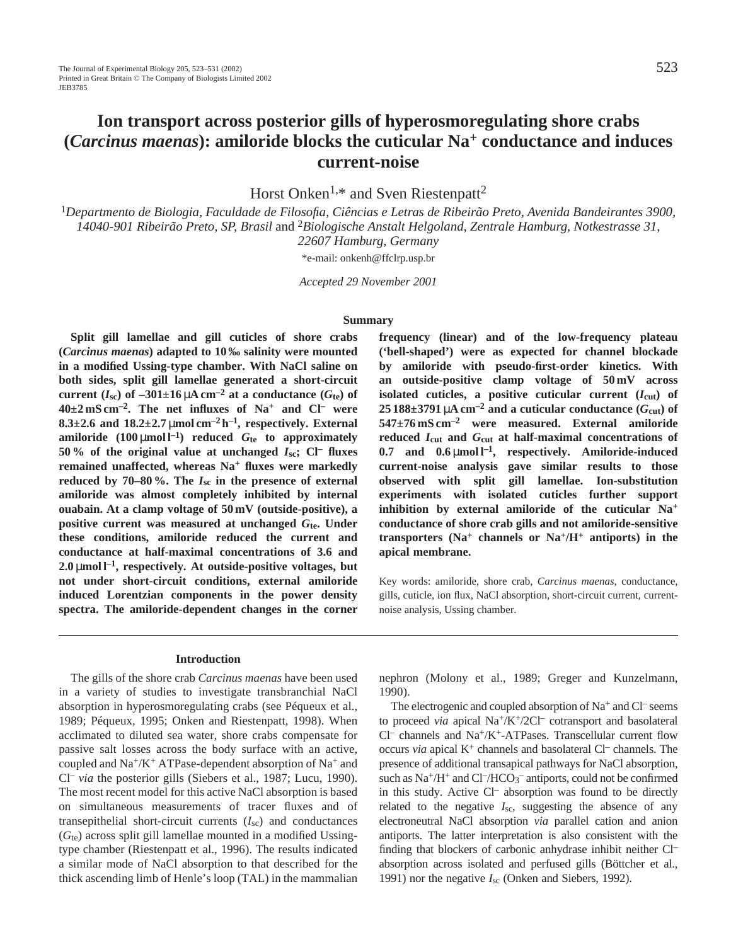Horst Onken<sup>1,\*</sup> and Sven Riestenpatt<sup>2</sup>

<sup>1</sup>*Departmento de Biologia, Faculdade de Filosofia, Ciências e Letras de Ribeirão Preto, Avenida Bandeirantes 3900, 14040-901 Ribeirão Preto, SP, Brasil* and 2*Biologische Anstalt Helgoland, Zentrale Hamburg, Notkestrasse 31, 22607 Hamburg, Germany*

\*e-mail: onkenh@ffclrp.usp.br

*Accepted 29 November 2001* 

#### **Summary**

**Split gill lamellae and gill cuticles of shore crabs (***Carcinus maenas***) adapted to 10 ‰ salinity were mounted in a modified Ussing-type chamber. With NaCl saline on both sides, split gill lamellae generated a short-circuit** current  $(I_{sc})$  of  $-301\pm16$   $\mu$ A cm<sup>-2</sup> at a conductance  $(G_{te})$  of **40±2 mS cm–2. The net influxes of Na+ and Cl– were 8.3** $\pm$ **2.6** and **18.2** $\pm$ **2.7** µmol cm<sup>-2</sup> h<sup>-1</sup>, respectively. External amiloride  $(100 \mu \text{mol})^{-1}$  reduced  $G_t$  to approximately **50 % of the original value at unchanged**  $I_{\text{sc}}$ **; Cl– fluxes remained unaffected, whereas Na+ fluxes were markedly** reduced by  $70-80\%$ . The  $I_{sc}$  in the presence of external **amiloride was almost completely inhibited by internal ouabain. At a clamp voltage of 50 mV (outside-positive), a positive current was measured at unchanged** *G***te. Under these conditions, amiloride reduced the current and conductance at half-maximal concentrations of 3.6 and 2.0** µ**mol l–1, respectively. At outside-positive voltages, but not under short-circuit conditions, external amiloride induced Lorentzian components in the power density spectra. The amiloride-dependent changes in the corner** **frequency (linear) and of the low-frequency plateau ('bell-shaped') were as expected for channel blockade by amiloride with pseudo-first-order kinetics. With an outside-positive clamp voltage of 50 mV across** isolated cuticles, a positive cuticular current  $(I_{\text{cut}})$  of  $25188\pm3791 \mu A \text{ cm}^{-2}$  and a cuticular conductance ( $G_{\text{cut}}$ ) of **547±76 mS cm–2 were measured. External amiloride reduced** *I***cut and** *G***cut at half-maximal concentrations of** 0.7 and  $0.6 \mu$ mol  $l^{-1}$ , respectively. Amiloride-induced **current-noise analysis gave similar results to those observed with split gill lamellae. Ion-substitution experiments with isolated cuticles further support inhibition by external amiloride of the cuticular Na+ conductance of shore crab gills and not amiloride-sensitive transporters (Na+ channels or Na+/H+ antiports) in the apical membrane.**

Key words: amiloride, shore crab, *Carcinus maenas*, conductance, gills, cuticle, ion flux, NaCl absorption, short-circuit current, currentnoise analysis, Ussing chamber.

#### **Introduction**

The gills of the shore crab *Carcinus maenas* have been used in a variety of studies to investigate transbranchial NaCl absorption in hyperosmoregulating crabs (see Péqueux et al., 1989; Péqueux, 1995; Onken and Riestenpatt, 1998). When acclimated to diluted sea water, shore crabs compensate for passive salt losses across the body surface with an active, coupled and Na+/K+ ATPase-dependent absorption of Na<sup>+</sup> and Cl– *via* the posterior gills (Siebers et al., 1987; Lucu, 1990). The most recent model for this active NaCl absorption is based on simultaneous measurements of tracer fluxes and of transepithelial short-circuit currents (*I*sc) and conductances (*G*te) across split gill lamellae mounted in a modified Ussingtype chamber (Riestenpatt et al., 1996). The results indicated a similar mode of NaCl absorption to that described for the thick ascending limb of Henle's loop (TAL) in the mammalian nephron (Molony et al., 1989; Greger and Kunzelmann, 1990).

The electrogenic and coupled absorption of  $Na^+$  and  $Cl^-$  seems to proceed *via* apical Na+/K+/2Cl– cotransport and basolateral  $Cl^-$  channels and  $Na^+/K^+$ -ATPases. Transcellular current flow occurs *via* apical K+ channels and basolateral Cl– channels. The presence of additional transapical pathways for NaCl absorption, such as Na<sup>+</sup>/H<sup>+</sup> and Cl<sup>-</sup>/HCO<sub>3</sub><sup>-</sup> antiports, could not be confirmed in this study. Active Cl– absorption was found to be directly related to the negative *I*sc, suggesting the absence of any electroneutral NaCl absorption *via* parallel cation and anion antiports. The latter interpretation is also consistent with the finding that blockers of carbonic anhydrase inhibit neither Cl– absorption across isolated and perfused gills (Böttcher et al., 1991) nor the negative *I*sc (Onken and Siebers, 1992).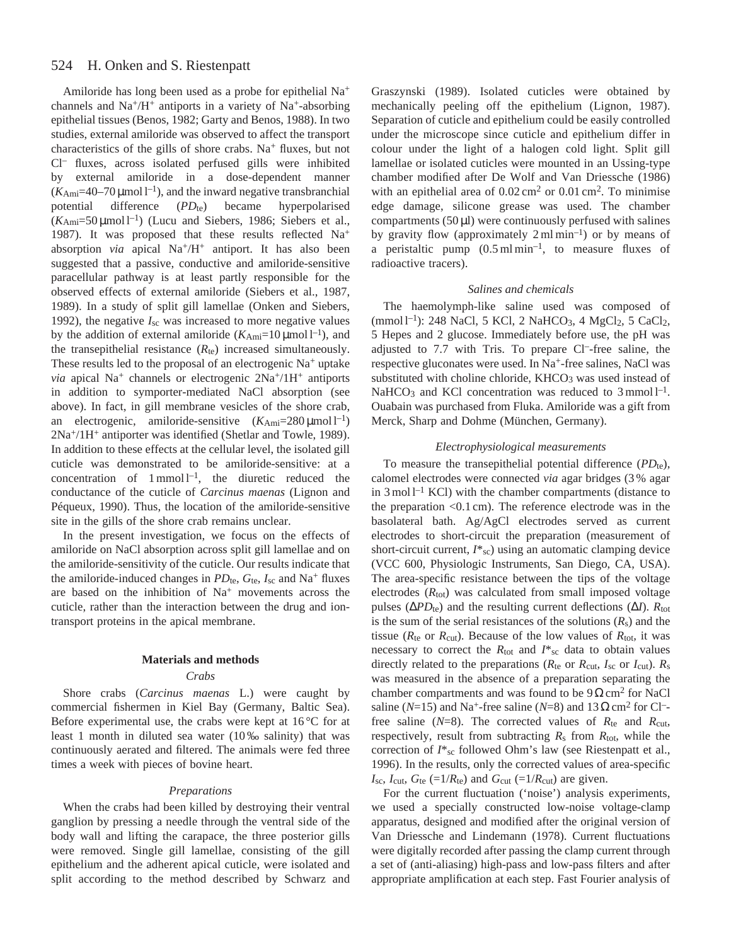#### 524 H. Onken and S. Riestenpatt

Amiloride has long been used as a probe for epithelial Na<sup>+</sup> channels and  $Na^{+}/H^{+}$  antiports in a variety of  $Na^{+}$ -absorbing epithelial tissues (Benos, 1982; Garty and Benos, 1988). In two studies, external amiloride was observed to affect the transport characteristics of the gills of shore crabs. Na<sup>+</sup> fluxes, but not Cl– fluxes, across isolated perfused gills were inhibited by external amiloride in a dose-dependent manner  $(K_{\text{Ami}}=40-70 \,\mu\text{mol}^{-1})$ , and the inward negative transbranchial potential difference (*PD*<sub>te</sub>) became hyperpolarised  $(K_{\text{Ami}}=50 \,\mu\text{mol}^{-1})$  (Lucu and Siebers, 1986; Siebers et al., 1987). It was proposed that these results reflected Na<sup>+</sup> absorption *via* apical Na<sup>+</sup>/H<sup>+</sup> antiport. It has also been suggested that a passive, conductive and amiloride-sensitive paracellular pathway is at least partly responsible for the observed effects of external amiloride (Siebers et al., 1987, 1989). In a study of split gill lamellae (Onken and Siebers, 1992), the negative *I*sc was increased to more negative values by the addition of external amiloride  $(K_{\text{Ami}}=10 \,\mu\text{mol})^{-1}$ , and the transepithelial resistance  $(R_{te})$  increased simultaneously. These results led to the proposal of an electrogenic Na<sup>+</sup> uptake *via* apical Na<sup>+</sup> channels or electrogenic  $2Na^{+}/1H^{+}$  antiports in addition to symporter-mediated NaCl absorption (see above). In fact, in gill membrane vesicles of the shore crab, an electrogenic, amiloride-sensitive  $(K_{\text{Ami}}=280 \,\mu\text{mol})^{-1}$ 2Na+/1H+ antiporter was identified (Shetlar and Towle, 1989). In addition to these effects at the cellular level, the isolated gill cuticle was demonstrated to be amiloride-sensitive: at a concentration of  $1 \text{ mmol } 1^{-1}$ , the diuretic reduced the conductance of the cuticle of *Carcinus maenas* (Lignon and Péqueux, 1990). Thus, the location of the amiloride-sensitive site in the gills of the shore crab remains unclear.

In the present investigation, we focus on the effects of amiloride on NaCl absorption across split gill lamellae and on the amiloride-sensitivity of the cuticle. Our results indicate that the amiloride-induced changes in  $PD_{te}$ ,  $G_{te}$ ,  $I_{sc}$  and Na<sup>+</sup> fluxes are based on the inhibition of Na<sup>+</sup> movements across the cuticle, rather than the interaction between the drug and iontransport proteins in the apical membrane.

# **Materials and methods**

## *Crabs*

Shore crabs (*Carcinus maenas* L.) were caught by commercial fishermen in Kiel Bay (Germany, Baltic Sea). Before experimental use, the crabs were kept at 16 °C for at least 1 month in diluted sea water (10 ‰ salinity) that was continuously aerated and filtered. The animals were fed three times a week with pieces of bovine heart.

# *Preparations*

When the crabs had been killed by destroying their ventral ganglion by pressing a needle through the ventral side of the body wall and lifting the carapace, the three posterior gills were removed. Single gill lamellae, consisting of the gill epithelium and the adherent apical cuticle, were isolated and split according to the method described by Schwarz and

Graszynski (1989). Isolated cuticles were obtained by mechanically peeling off the epithelium (Lignon, 1987). Separation of cuticle and epithelium could be easily controlled under the microscope since cuticle and epithelium differ in colour under the light of a halogen cold light. Split gill lamellae or isolated cuticles were mounted in an Ussing-type chamber modified after De Wolf and Van Driessche (1986) with an epithelial area of  $0.02 \text{ cm}^2$  or  $0.01 \text{ cm}^2$ . To minimise edge damage, silicone grease was used. The chamber compartments  $(50 \,\mu\text{I})$  were continuously perfused with salines by gravity flow (approximately  $2 \text{ ml min}^{-1}$ ) or by means of a peristaltic pump  $(0.5 \text{ ml min}^{-1})$ , to measure fluxes of radioactive tracers).

#### *Salines and chemicals*

The haemolymph-like saline used was composed of  $(mmol l^{-1})$ : 248 NaCl, 5 KCl, 2 NaHCO<sub>3</sub>, 4 MgCl<sub>2</sub>, 5 CaCl<sub>2</sub>, 5 Hepes and 2 glucose. Immediately before use, the pH was adjusted to 7.7 with Tris. To prepare Cl–-free saline, the respective gluconates were used. In Na<sup>+</sup>-free salines, NaCl was substituted with choline chloride, KHCO<sub>3</sub> was used instead of NaHCO<sub>3</sub> and KCl concentration was reduced to  $3$  mmol  $l^{-1}$ . Ouabain was purchased from Fluka. Amiloride was a gift from Merck, Sharp and Dohme (München, Germany).

## *Electrophysiological measurements*

To measure the transepithelial potential difference (PD<sub>te</sub>), calomel electrodes were connected *via* agar bridges (3 % agar in  $3 \text{ mol}^{-1}$  KCl) with the chamber compartments (distance to the preparation <0.1 cm). The reference electrode was in the basolateral bath. Ag/AgCl electrodes served as current electrodes to short-circuit the preparation (measurement of short-circuit current,  $I^*_{\text{sc}}$ ) using an automatic clamping device (VCC 600, Physiologic Instruments, San Diego, CA, USA). The area-specific resistance between the tips of the voltage electrodes  $(R_{\text{tot}})$  was calculated from small imposed voltage pulses ( $ΔPD<sub>te</sub>$ ) and the resulting current deflections ( $ΔI$ ).  $R<sub>tot</sub>$ is the sum of the serial resistances of the solutions  $(R_s)$  and the tissue ( $R_{\text{te}}$  or  $R_{\text{cut}}$ ). Because of the low values of  $R_{\text{tot}}$ , it was necessary to correct the  $R_{\text{tot}}$  and  $I^*_{\text{sc}}$  data to obtain values directly related to the preparations ( $R_{te}$  or  $R_{cut}$ ,  $I_{sc}$  or  $I_{cut}$ ).  $R_s$ was measured in the absence of a preparation separating the chamber compartments and was found to be  $9 \Omega \text{ cm}^2$  for NaCl saline ( $N=15$ ) and Na<sup>+</sup>-free saline ( $N=8$ ) and  $13 \Omega \text{ cm}^2$  for Cl<sup>-</sup>free saline (*N*=8). The corrected values of *R*te and *R*cut, respectively, result from subtracting *R*s from *R*tot, while the correction of  $I^*$ <sub>sc</sub> followed Ohm's law (see Riestenpatt et al., 1996). In the results, only the corrected values of area-specific  $I_{\text{sc}}$ ,  $I_{\text{cut}}$ ,  $G_{\text{te}}$  (=1/ $R_{\text{te}}$ ) and  $G_{\text{cut}}$  (=1/ $R_{\text{cut}}$ ) are given.

For the current fluctuation ('noise') analysis experiments, we used a specially constructed low-noise voltage-clamp apparatus, designed and modified after the original version of Van Driessche and Lindemann (1978). Current fluctuations were digitally recorded after passing the clamp current through a set of (anti-aliasing) high-pass and low-pass filters and after appropriate amplification at each step. Fast Fourier analysis of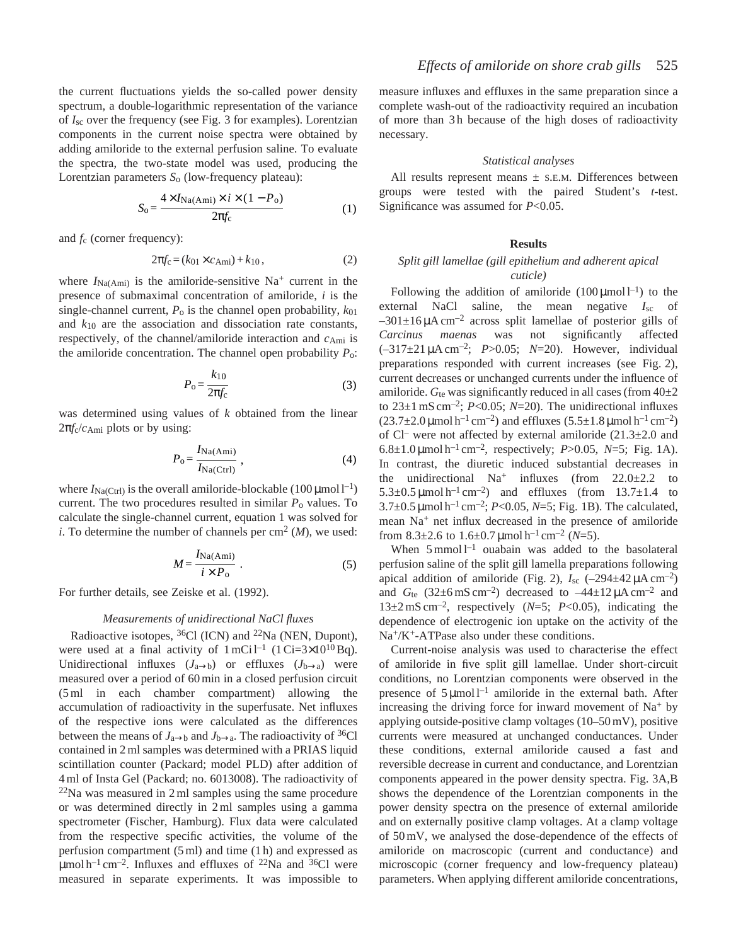the current fluctuations yields the so-called power density spectrum, a double-logarithmic representation of the variance of *I*sc over the frequency (see Fig. 3 for examples). Lorentzian components in the current noise spectra were obtained by adding amiloride to the external perfusion saline. To evaluate the spectra, the two-state model was used, producing the Lorentzian parameters *S*o (low-frequency plateau):

$$
S_{\rm o} = \frac{4 \times I_{\rm Na(Ami)} \times i \times (1 - P_{\rm o})}{2\pi f_{\rm c}} \tag{1}
$$

and *f*c (corner frequency):

$$
2\pi f_c = (k_{01} \times c_{\text{Ami}}) + k_{10}, \tag{2}
$$

where  $I_{\text{Na(Ami)}}$  is the amiloride-sensitive Na<sup>+</sup> current in the presence of submaximal concentration of amiloride, *i* is the single-channel current,  $P_0$  is the channel open probability,  $k_{01}$ and *k*10 are the association and dissociation rate constants, respectively, of the channel/amiloride interaction and *c*Ami is the amiloride concentration. The channel open probability *P*o:

$$
P_{\rm o} = \frac{k_{10}}{2\pi f_{\rm c}}\tag{3}
$$

was determined using values of *k* obtained from the linear  $2\pi f_c/c_{\text{Ami}}$  plots or by using:

$$
P_{\rm o} = \frac{I_{\rm Na(Ami)}}{I_{\rm Na(Ctri)}},\tag{4}
$$

where  $I_{\text{Na}(Ctrl)}$  is the overall amiloride-blockable (100 µmol l<sup>-1</sup>) current. The two procedures resulted in similar  $P_0$  values. To calculate the single-channel current, equation 1 was solved for *i*. To determine the number of channels per  $\text{cm}^2$  (*M*), we used:

$$
M = \frac{I_{\text{Na(Ami)}}}{i \times P_0} \ . \tag{5}
$$

For further details, see Zeiske et al. (1992).

### *Measurements of unidirectional NaCl fluxes*

Radioactive isotopes, <sup>36</sup>Cl (ICN) and <sup>22</sup>Na (NEN, Dupont), were used at a final activity of  $1 \text{ mCi}^{-1}$  ( $1 \text{ Ci} = 3 \times 10^{10} \text{ Bq}$ ). Unidirectional influxes  $(J_{a\rightarrow b})$  or effluxes  $(J_{b\rightarrow a})$  were measured over a period of 60 min in a closed perfusion circuit (5 ml in each chamber compartment) allowing the accumulation of radioactivity in the superfusate. Net influxes of the respective ions were calculated as the differences between the means of  $J_{a\rightarrow b}$  and  $J_{b\rightarrow a}$ . The radioactivity of <sup>36</sup>Cl contained in 2 ml samples was determined with a PRIAS liquid scintillation counter (Packard; model PLD) after addition of 4 ml of Insta Gel (Packard; no. 6013008). The radioactivity of  $22$ Na was measured in 2 ml samples using the same procedure or was determined directly in 2 ml samples using a gamma spectrometer (Fischer, Hamburg). Flux data were calculated from the respective specific activities, the volume of the perfusion compartment (5 ml) and time (1 h) and expressed as  $\mu$ mol h<sup>-1</sup> cm<sup>-2</sup>. Influxes and effluxes of <sup>22</sup>Na and <sup>36</sup>Cl were measured in separate experiments. It was impossible to

measure influxes and effluxes in the same preparation since a complete wash-out of the radioactivity required an incubation of more than 3 h because of the high doses of radioactivity necessary.

### *Statistical analyses*

All results represent means  $\pm$  s.E.M. Differences between groups were tested with the paired Student's *t*-test. Significance was assumed for *P*<0.05.

## **Results**

# *Split gill lamellae (gill epithelium and adherent apical cuticle)*

Following the addition of amiloride  $(100 \,\mu\text{mol})^{-1}$  to the external NaCl saline, the mean negative *I*<sub>sc</sub> of  $-301\pm16\,\mu A\,\text{cm}^{-2}$  across split lamellae of posterior gills of *Carcinus maenas* was not significantly affected (–317±21 µA cm–2; *P*>0.05; *N*=20). However, individual preparations responded with current increases (see Fig. 2), current decreases or unchanged currents under the influence of amiloride.  $G_{te}$  was significantly reduced in all cases (from  $40\pm2$ to 23±1 mS cm–2; *P*<0.05; *N*=20). The unidirectional influxes  $(23.7\pm2.0 \,\text{\mu} \text{mol h}^{-1} \text{ cm}^{-2})$  and effluxes  $(5.5\pm1.8 \,\text{\mu} \text{mol h}^{-1} \text{ cm}^{-2})$ of Cl<sup>–</sup> were not affected by external amiloride  $(21.3\pm2.0$  and 6.8 $\pm$ 1.0 µmol h<sup>-1</sup> cm<sup>-2</sup>, respectively; *P*>0.05, *N*=5; Fig. 1A). In contrast, the diuretic induced substantial decreases in the unidirectional  $Na^+$  influxes (from  $22.0\pm2.2$  to 5.3 $\pm$ 0.5 µmol h<sup>-1</sup> cm<sup>-2</sup>) and effluxes (from 13.7 $\pm$ 1.4 to  $3.7\pm0.5$  µmol h<sup>-1</sup> cm<sup>-2</sup>; *P*<0.05, *N*=5; Fig. 1B). The calculated, mean Na+ net influx decreased in the presence of amiloride from  $8.3\pm2.6$  to  $1.6\pm0.7$   $\mu$ mol h<sup>-1</sup> cm<sup>-2</sup> (N=5).

When  $5 \text{ mmol } l^{-1}$  ouabain was added to the basolateral perfusion saline of the split gill lamella preparations following apical addition of amiloride (Fig. 2),  $I_{\text{sc}}$  (-294 $\pm$ 42  $\mu$ A cm<sup>-2</sup>) and  $G_{te}$  (32±6 mS cm<sup>-2</sup>) decreased to  $-44\pm12 \mu A \text{ cm}^{-2}$  and 13±2 mS cm–2, respectively (*N*=5; *P*<0.05), indicating the dependence of electrogenic ion uptake on the activity of the Na+/K+-ATPase also under these conditions.

Current-noise analysis was used to characterise the effect of amiloride in five split gill lamellae. Under short-circuit conditions, no Lorentzian components were observed in the presence of  $5 \mu$ mol  $l^{-1}$  amiloride in the external bath. After increasing the driving force for inward movement of Na+ by applying outside-positive clamp voltages (10–50 mV), positive currents were measured at unchanged conductances. Under these conditions, external amiloride caused a fast and reversible decrease in current and conductance, and Lorentzian components appeared in the power density spectra. Fig. 3A,B shows the dependence of the Lorentzian components in the power density spectra on the presence of external amiloride and on externally positive clamp voltages. At a clamp voltage of 50 mV, we analysed the dose-dependence of the effects of amiloride on macroscopic (current and conductance) and microscopic (corner frequency and low-frequency plateau) parameters. When applying different amiloride concentrations,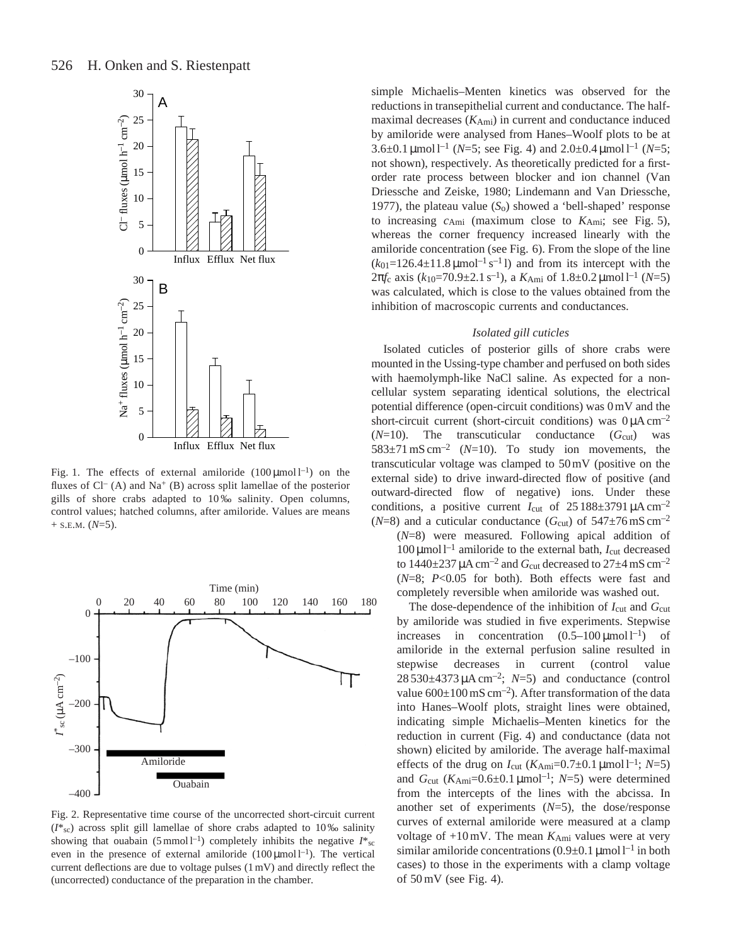

Fig. 1. The effects of external amiloride  $(100 \,\mu\text{mol})^{-1}$  on the fluxes of  $Cl^{-}(A)$  and  $Na^{+}(B)$  across split lamellae of the posterior gills of shore crabs adapted to 10 ‰ salinity. Open columns, control values; hatched columns, after amiloride. Values are means  $+$  S.E.M. ( $N=5$ ).



Fig. 2. Representative time course of the uncorrected short-circuit current (*I*\*sc) across split gill lamellae of shore crabs adapted to 10 ‰ salinity showing that ouabain (5 mmol  $l^{-1}$ ) completely inhibits the negative  $I^*$ <sub>sc</sub> even in the presence of external amiloride  $(100 \mu \text{mol})^{-1}$ . The vertical current deflections are due to voltage pulses (1 mV) and directly reflect the (uncorrected) conductance of the preparation in the chamber.

simple Michaelis–Menten kinetics was observed for the reductions in transepithelial current and conductance. The halfmaximal decreases (*K*Ami) in current and conductance induced by amiloride were analysed from Hanes–Woolf plots to be at 3.6 $\pm$ 0.1 µmol l<sup>-1</sup> (*N*=5; see Fig. 4) and 2.0 $\pm$ 0.4 µmol l<sup>-1</sup> (*N*=5; not shown), respectively. As theoretically predicted for a firstorder rate process between blocker and ion channel (Van Driessche and Zeiske, 1980; Lindemann and Van Driessche, 1977), the plateau value (*S*o) showed a 'bell-shaped' response to increasing *c*Ami (maximum close to *K*Ami; see Fig. 5), whereas the corner frequency increased linearly with the amiloride concentration (see Fig. 6). From the slope of the line  $(k_{01}=126.4\pm11.8 \,\mathrm{\mu mol^{-1} s^{-1} l})$  and from its intercept with the  $2\pi f$ <sub>c</sub> axis ( $k_{10}$ =70.9 $\pm$ 2.1 s<sup>-1</sup>), a  $K_{\text{Ami}}$  of 1.8 $\pm$ 0.2 μmol l<sup>-1</sup> ( $N$ =5) was calculated, which is close to the values obtained from the inhibition of macroscopic currents and conductances.

#### *Isolated gill cuticles*

Isolated cuticles of posterior gills of shore crabs were mounted in the Ussing-type chamber and perfused on both sides with haemolymph-like NaCl saline. As expected for a noncellular system separating identical solutions, the electrical potential difference (open-circuit conditions) was 0 mV and the short-circuit current (short-circuit conditions) was  $0 \mu A \text{ cm}^{-2}$  $(N=10)$ . The transcuticular conductance  $(G_{\text{cut}})$  was 583 $\pm$ 71 mS cm<sup>-2</sup> (*N*=10). To study ion movements, the transcuticular voltage was clamped to 50 mV (positive on the external side) to drive inward-directed flow of positive (and outward-directed flow of negative) ions. Under these conditions, a positive current  $I_{\text{cut}}$  of  $25188 \pm 3791 \mu A \text{ cm}^{-2}$ ( $N=8$ ) and a cuticular conductance ( $G_{\text{cut}}$ ) of  $547\pm76 \text{ mS cm}^{-2}$ (*N*=8) were measured. Following apical addition of

 $100 \mu$ mol l<sup>-1</sup> amiloride to the external bath,  $I_{\text{cut}}$  decreased to  $1440\pm 237 \mu A \text{ cm}^{-2}$  and  $G_{\text{cut}}$  decreased to  $27\pm 4 \text{ mS cm}^{-2}$ (*N*=8; *P*<0.05 for both). Both effects were fast and completely reversible when amiloride was washed out.

The dose-dependence of the inhibition of  $I_{\text{cut}}$  and  $G_{\text{cut}}$ by amiloride was studied in five experiments. Stepwise increases in concentration  $(0.5-100 \,\mu\text{mol})^{-1}$  of amiloride in the external perfusion saline resulted in stepwise decreases in current (control value  $28\,530\pm4373\,\mu A\,\text{cm}^{-2}$ ;  $N=5$ ) and conductance (control value  $600\pm100$  mS cm<sup>-2</sup>). After transformation of the data into Hanes–Woolf plots, straight lines were obtained, indicating simple Michaelis–Menten kinetics for the reduction in current (Fig. 4) and conductance (data not shown) elicited by amiloride. The average half-maximal effects of the drug on  $I_{\text{cut}}$  ( $K_{\text{Ami}}=0.7\pm0.1$  µmol l<sup>-1</sup>;  $N=5$ ) and  $G_{\text{cut}}$  ( $K_{\text{Ami}}=0.6\pm0.1 \,\mu\text{mol}^{-1}$ ;  $N=5$ ) were determined from the intercepts of the lines with the abcissa. In another set of experiments (*N*=5), the dose/response curves of external amiloride were measured at a clamp voltage of  $+10$  mV. The mean  $K_{\text{Ami}}$  values were at very similar amiloride concentrations  $(0.9\pm 0.1 \,\mu\text{mol})^{-1}$  in both cases) to those in the experiments with a clamp voltage of 50 mV (see Fig. 4).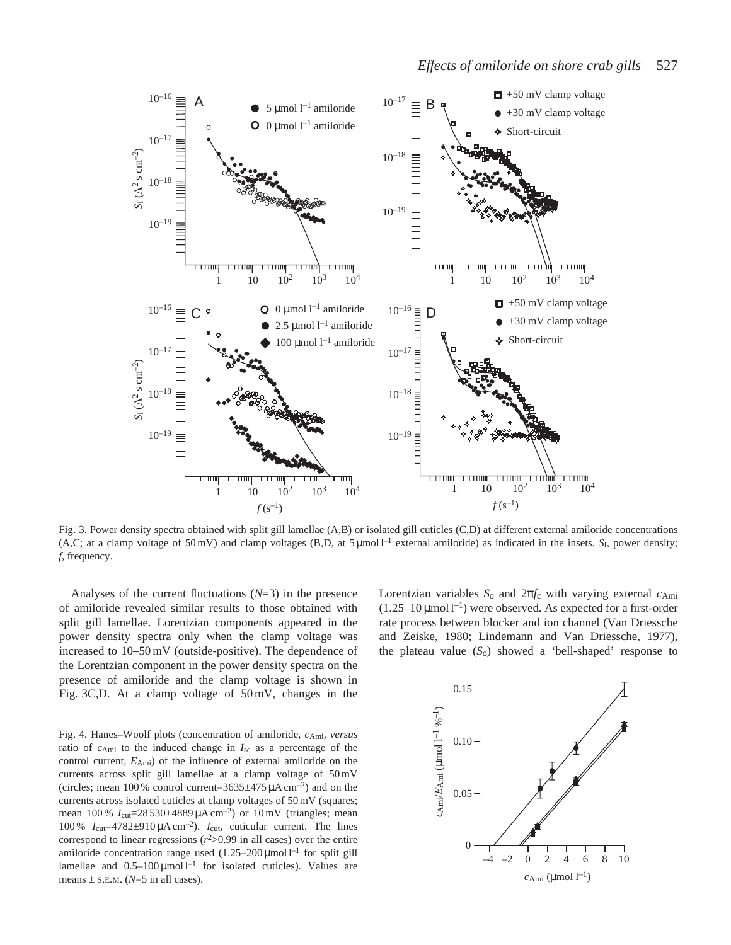

Fig. 3. Power density spectra obtained with split gill lamellae (A,B) or isolated gill cuticles (C,D) at different external amiloride concentrations (A,C; at a clamp voltage of 50 mV) and clamp voltages (B,D, at 5  $\mu$ mol l<sup>-1</sup> external amiloride) as indicated in the insets. *Sf*, power density; *f*, frequency.

Analyses of the current fluctuations (*N*=3) in the presence of amiloride revealed similar results to those obtained with split gill lamellae. Lorentzian components appeared in the power density spectra only when the clamp voltage was increased to 10–50 mV (outside-positive). The dependence of the Lorentzian component in the power density spectra on the presence of amiloride and the clamp voltage is shown in Fig. 3C,D. At a clamp voltage of 50 mV, changes in the

Fig. 4. Hanes–Woolf plots (concentration of amiloride, *c*Ami, *versus* ratio of *c*Ami to the induced change in *I*sc as a percentage of the control current, *E*Ami) of the influence of external amiloride on the currents across split gill lamellae at a clamp voltage of 50 mV (circles; mean 100 % control current= $3635\pm475 \mu A \text{ cm}^{-2}$ ) and on the currents across isolated cuticles at clamp voltages of 50 mV (squares; mean 100 % *I*<sub>cut</sub>=28 530±4889 μA cm<sup>-2</sup>) or 10 mV (triangles; mean 100 %  $I_{\text{cut}}$ =4782±910  $\mu$ A cm<sup>-2</sup>).  $I_{\text{cut}}$ , cuticular current. The lines correspond to linear regressions  $(r^2>0.99)$  in all cases) over the entire amiloride concentration range used  $(1.25-200 \,\text{\mu mol}^{-1})$  for split gill lamellae and  $0.5-100 \,\mu\text{mol}^{-1}$  for isolated cuticles). Values are means  $\pm$  s.E.M. ( $N=5$  in all cases).

Lorentzian variables *S*o and 2π*f*c with varying external *c*Ami  $(1.25-10 \,\text{\mu}$ mol l<sup>-1</sup>) were observed. As expected for a first-order rate process between blocker and ion channel (Van Driessche and Zeiske, 1980; Lindemann and Van Driessche, 1977), the plateau value  $(S_0)$  showed a 'bell-shaped' response to

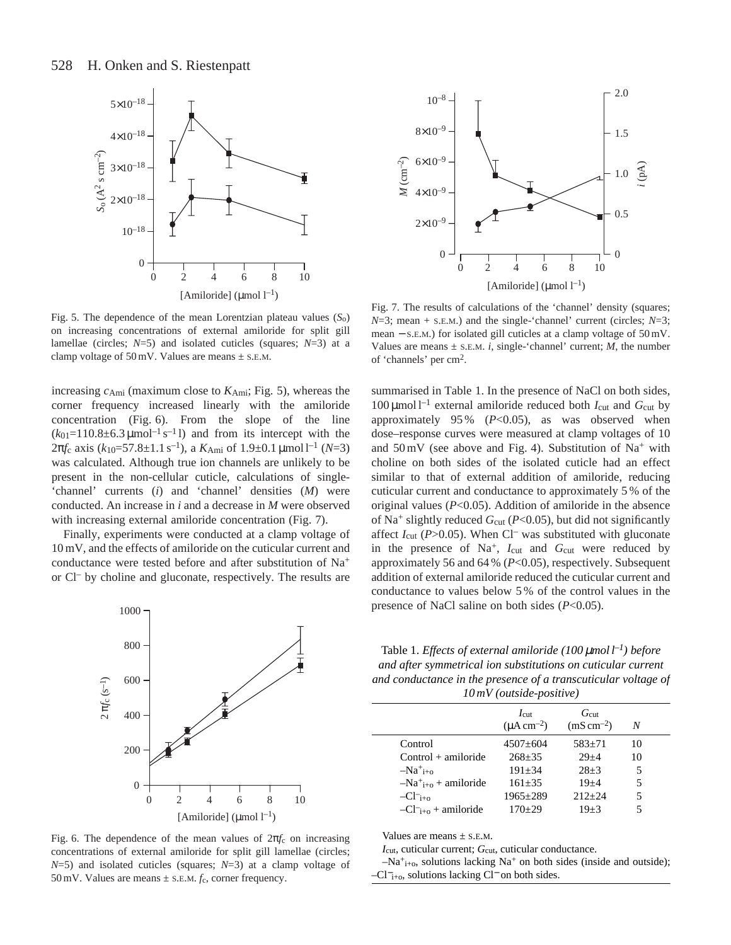

Fig. 5. The dependence of the mean Lorentzian plateau values (*S*o) on increasing concentrations of external amiloride for split gill lamellae (circles; *N*=5) and isolated cuticles (squares; *N*=3) at a clamp voltage of  $50 \text{ mV}$ . Values are means  $\pm$  s.E.M.

increasing *c*Ami (maximum close to *K*Ami; Fig. 5), whereas the corner frequency increased linearly with the amiloride concentration (Fig. 6). From the slope of the line  $(k_{01}=110.8\pm6.3 \,\text{\mu mol}^{-1}\,\text{s}^{-1}$  l) and from its intercept with the  $2\pi f$ <sub>c</sub> axis ( $k_{10}$ =57.8±1.1 s<sup>-1</sup>), a  $K_{\text{Ami}}$  of 1.9±0.1 μmol l<sup>-1</sup> (*N*=3) was calculated. Although true ion channels are unlikely to be present in the non-cellular cuticle, calculations of single- 'channel' currents (*i*) and 'channel' densities (*M*) were conducted. An increase in *i* and a decrease in *M* were observed with increasing external amiloride concentration (Fig. 7).

Finally, experiments were conducted at a clamp voltage of 10 mV, and the effects of amiloride on the cuticular current and conductance were tested before and after substitution of Na+ or Cl– by choline and gluconate, respectively. The results are



Fig. 6. The dependence of the mean values of 2π*f*c on increasing concentrations of external amiloride for split gill lamellae (circles; *N*=5) and isolated cuticles (squares; *N*=3) at a clamp voltage of 50 mV. Values are means  $\pm$  s.E.M.  $f_c$ , corner frequency.



Fig. 7. The results of calculations of the 'channel' density (squares;  $N=3$ ; mean + s.E.M.) and the single-'channel' current (circles;  $N=3$ ; mean − S.E.M.) for isolated gill cuticles at a clamp voltage of 50 mV. Values are means  $\pm$  s.E.M. *i*, single-'channel' current; *M*, the number of 'channels' per cm2.

summarised in Table 1. In the presence of NaCl on both sides,  $100 \mu$ mol l<sup>-1</sup> external amiloride reduced both  $I_{\text{cut}}$  and  $G_{\text{cut}}$  by approximately 95 % (*P*<0.05), as was observed when dose–response curves were measured at clamp voltages of 10 and  $50 \text{ mV}$  (see above and Fig. 4). Substitution of Na<sup>+</sup> with choline on both sides of the isolated cuticle had an effect similar to that of external addition of amiloride, reducing cuticular current and conductance to approximately 5 % of the original values (*P*<0.05). Addition of amiloride in the absence of Na<sup>+</sup> slightly reduced  $G_{\text{cut}}$  (*P*<0.05), but did not significantly affect *I*<sub>cut</sub> (*P*>0.05). When Cl<sup>–</sup> was substituted with gluconate in the presence of Na<sup>+</sup>, *I*<sub>cut</sub> and *G*<sub>cut</sub> were reduced by approximately 56 and 64 % (*P*<0.05), respectively. Subsequent addition of external amiloride reduced the cuticular current and conductance to values below 5 % of the control values in the presence of NaCl saline on both sides (*P*<0.05).

Table 1. *Effects of external amiloride (100* <sup>µ</sup>*mol l–1) before and after symmetrical ion substitutions on cuticular current and conductance in the presence of a transcuticular voltage of 10 mV (outside-positive)*

|                           | $I_{\text{cut}}$<br>$(\mu A \text{ cm}^{-2})$ | $G_{\rm cut}$<br>$(mS cm-2)$ | N  |  |
|---------------------------|-----------------------------------------------|------------------------------|----|--|
| Control                   | $4507+604$                                    | $583+71$                     | 10 |  |
| $Control + amiloride$     | $268 + 35$                                    | $29 + 4$                     | 10 |  |
| $-Na^+$ <sub>i+0</sub>    | $191 + 34$                                    | $28+3$                       | 5  |  |
| $-Na^+_{i+0}$ + amiloride | $161 + 35$                                    | $19 + 4$                     | 5  |  |
| $-CI^-_{i+0}$             | $1965 \pm 289$                                | $212 + 24$                   |    |  |
| $-CI^-_{i+0}$ + amiloride | $170+29$                                      | $19 + 3$                     |    |  |
|                           |                                               |                              |    |  |

Values are means  $\pm$  s.e.m.

*I*<sub>cut</sub>, cuticular current; *G*<sub>cut</sub>, cuticular conductance.

 $-Na^+_{i+o}$ , solutions lacking Na<sup>+</sup> on both sides (inside and outside); –Cl−i+o, solutions lacking Cl<sup>−</sup> on both sides.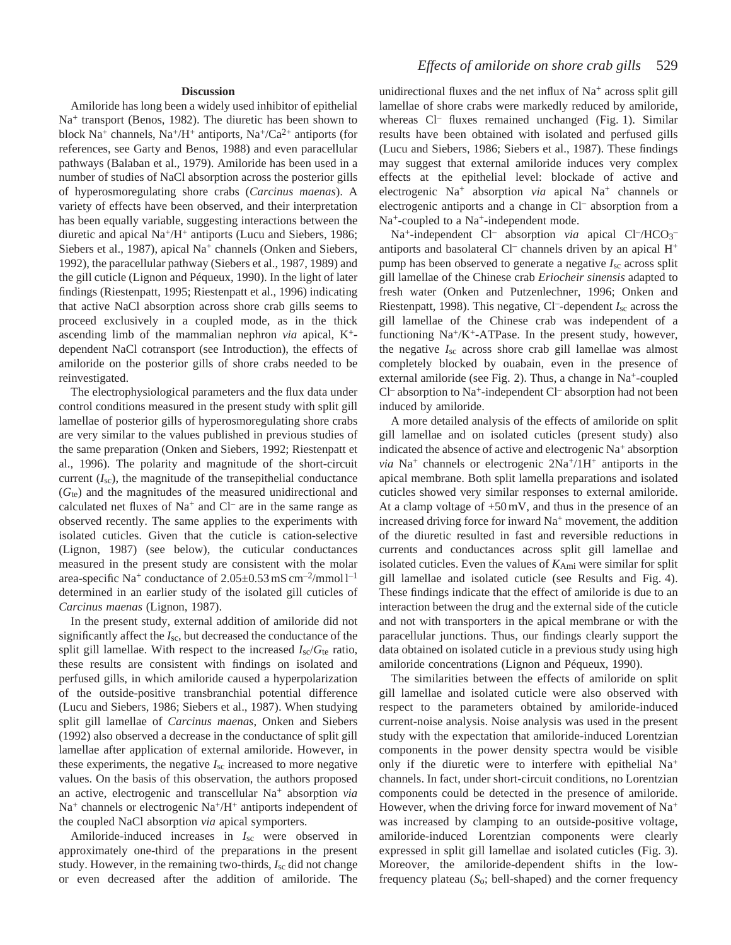## **Discussion**

Amiloride has long been a widely used inhibitor of epithelial Na<sup>+</sup> transport (Benos, 1982). The diuretic has been shown to block Na<sup>+</sup> channels, Na<sup>+</sup>/H<sup>+</sup> antiports, Na<sup>+</sup>/Ca<sup>2+</sup> antiports (for references, see Garty and Benos, 1988) and even paracellular pathways (Balaban et al., 1979). Amiloride has been used in a number of studies of NaCl absorption across the posterior gills of hyperosmoregulating shore crabs (*Carcinus maenas*). A variety of effects have been observed, and their interpretation has been equally variable, suggesting interactions between the diuretic and apical Na+/H+ antiports (Lucu and Siebers, 1986; Siebers et al., 1987), apical Na<sup>+</sup> channels (Onken and Siebers, 1992), the paracellular pathway (Siebers et al., 1987, 1989) and the gill cuticle (Lignon and Péqueux, 1990). In the light of later findings (Riestenpatt, 1995; Riestenpatt et al., 1996) indicating that active NaCl absorption across shore crab gills seems to proceed exclusively in a coupled mode, as in the thick ascending limb of the mammalian nephron *via* apical, K+ dependent NaCl cotransport (see Introduction), the effects of amiloride on the posterior gills of shore crabs needed to be reinvestigated.

The electrophysiological parameters and the flux data under control conditions measured in the present study with split gill lamellae of posterior gills of hyperosmoregulating shore crabs are very similar to the values published in previous studies of the same preparation (Onken and Siebers, 1992; Riestenpatt et al., 1996). The polarity and magnitude of the short-circuit current  $(I_{\text{sc}})$ , the magnitude of the transepithelial conductance (*G*te) and the magnitudes of the measured unidirectional and calculated net fluxes of  $Na<sup>+</sup>$  and  $Cl<sup>-</sup>$  are in the same range as observed recently. The same applies to the experiments with isolated cuticles. Given that the cuticle is cation-selective (Lignon, 1987) (see below), the cuticular conductances measured in the present study are consistent with the molar area-specific Na<sup>+</sup> conductance of  $2.05\pm0.53$  mS cm<sup>-2</sup>/mmol l<sup>-1</sup> determined in an earlier study of the isolated gill cuticles of *Carcinus maenas* (Lignon, 1987).

In the present study, external addition of amiloride did not significantly affect the *I*sc, but decreased the conductance of the split gill lamellae. With respect to the increased *I*sc/*G*te ratio, these results are consistent with findings on isolated and perfused gills, in which amiloride caused a hyperpolarization of the outside-positive transbranchial potential difference (Lucu and Siebers, 1986; Siebers et al., 1987). When studying split gill lamellae of *Carcinus maenas*, Onken and Siebers (1992) also observed a decrease in the conductance of split gill lamellae after application of external amiloride. However, in these experiments, the negative *I*sc increased to more negative values. On the basis of this observation, the authors proposed an active, electrogenic and transcellular Na+ absorption *via*  $Na<sup>+</sup>$  channels or electrogenic  $Na<sup>+</sup>/H<sup>+</sup>$  antiports independent of the coupled NaCl absorption *via* apical symporters.

Amiloride-induced increases in *I*sc were observed in approximately one-third of the preparations in the present study. However, in the remaining two-thirds, *I*sc did not change or even decreased after the addition of amiloride. The

unidirectional fluxes and the net influx of  $Na<sup>+</sup>$  across split gill lamellae of shore crabs were markedly reduced by amiloride, whereas Cl<sup>-</sup> fluxes remained unchanged (Fig. 1). Similar results have been obtained with isolated and perfused gills (Lucu and Siebers, 1986; Siebers et al., 1987). These findings may suggest that external amiloride induces very complex effects at the epithelial level: blockade of active and electrogenic Na+ absorption *via* apical Na+ channels or electrogenic antiports and a change in Cl– absorption from a Na<sup>+</sup>-coupled to a Na<sup>+</sup>-independent mode.

Na<sup>+</sup>-independent Cl<sup>-</sup> absorption *via* apical Cl<sup>-</sup>/HCO<sub>3</sub><sup>-</sup> antiports and basolateral  $Cl^-$  channels driven by an apical  $H^+$ pump has been observed to generate a negative *I*sc across split gill lamellae of the Chinese crab *Eriocheir sinensis* adapted to fresh water (Onken and Putzenlechner, 1996; Onken and Riestenpatt, 1998). This negative, Cl–-dependent *I*sc across the gill lamellae of the Chinese crab was independent of a functioning  $Na^{+}/K^{+}$ -ATPase. In the present study, however, the negative *I*sc across shore crab gill lamellae was almost completely blocked by ouabain, even in the presence of external amiloride (see Fig. 2). Thus, a change in  $Na<sup>+</sup>$ -coupled Cl– absorption to Na+-independent Cl– absorption had not been induced by amiloride.

A more detailed analysis of the effects of amiloride on split gill lamellae and on isolated cuticles (present study) also indicated the absence of active and electrogenic Na+ absorption *via*  $Na^+$  channels or electrogenic  $2Na^+/1H^+$  antiports in the apical membrane. Both split lamella preparations and isolated cuticles showed very similar responses to external amiloride. At a clamp voltage of +50 mV, and thus in the presence of an increased driving force for inward  $Na<sup>+</sup>$  movement, the addition of the diuretic resulted in fast and reversible reductions in currents and conductances across split gill lamellae and isolated cuticles. Even the values of *K*Ami were similar for split gill lamellae and isolated cuticle (see Results and Fig. 4). These findings indicate that the effect of amiloride is due to an interaction between the drug and the external side of the cuticle and not with transporters in the apical membrane or with the paracellular junctions. Thus, our findings clearly support the data obtained on isolated cuticle in a previous study using high amiloride concentrations (Lignon and Péqueux, 1990).

The similarities between the effects of amiloride on split gill lamellae and isolated cuticle were also observed with respect to the parameters obtained by amiloride-induced current-noise analysis. Noise analysis was used in the present study with the expectation that amiloride-induced Lorentzian components in the power density spectra would be visible only if the diuretic were to interfere with epithelial  $Na<sup>+</sup>$ channels. In fact, under short-circuit conditions, no Lorentzian components could be detected in the presence of amiloride. However, when the driving force for inward movement of  $Na<sup>+</sup>$ was increased by clamping to an outside-positive voltage, amiloride-induced Lorentzian components were clearly expressed in split gill lamellae and isolated cuticles (Fig. 3). Moreover, the amiloride-dependent shifts in the lowfrequency plateau (*S*o; bell-shaped) and the corner frequency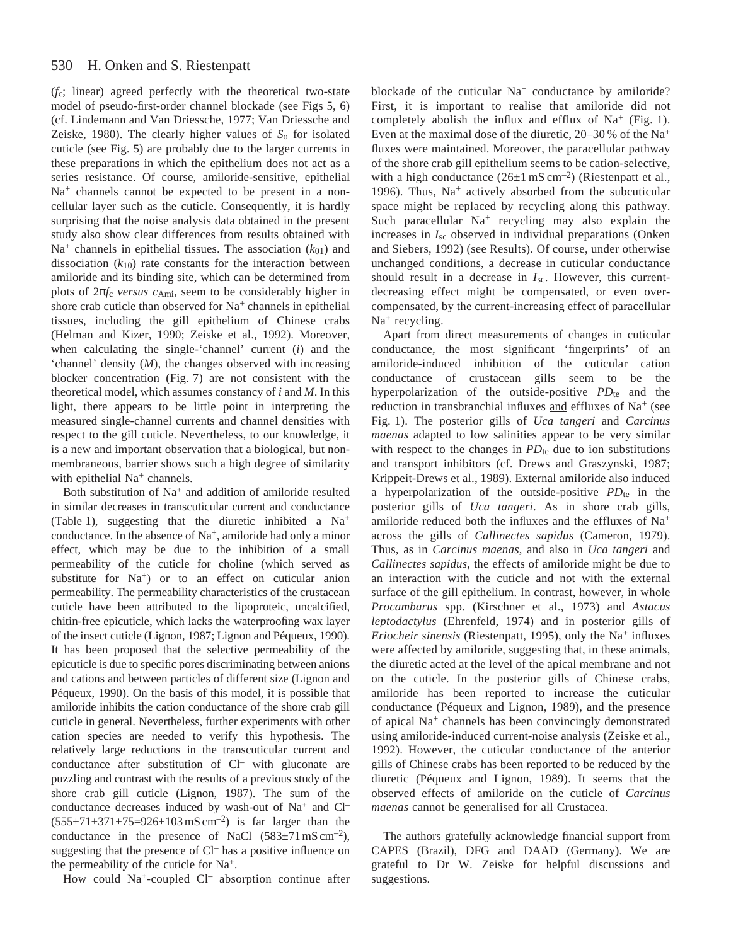#### 530 H. Onken and S. Riestenpatt

(*f*c; linear) agreed perfectly with the theoretical two-state model of pseudo-first-order channel blockade (see Figs 5, 6) (cf. Lindemann and Van Driessche, 1977; Van Driessche and Zeiske, 1980). The clearly higher values of *S*o for isolated cuticle (see Fig. 5) are probably due to the larger currents in these preparations in which the epithelium does not act as a series resistance. Of course, amiloride-sensitive, epithelial  $Na<sup>+</sup>$  channels cannot be expected to be present in a noncellular layer such as the cuticle. Consequently, it is hardly surprising that the noise analysis data obtained in the present study also show clear differences from results obtained with  $Na<sup>+</sup>$  channels in epithelial tissues. The association  $(k_{01})$  and dissociation  $(k_{10})$  rate constants for the interaction between amiloride and its binding site, which can be determined from plots of 2π*f*c *versus c*Ami, seem to be considerably higher in shore crab cuticle than observed for  $Na<sup>+</sup>$  channels in epithelial tissues, including the gill epithelium of Chinese crabs (Helman and Kizer, 1990; Zeiske et al., 1992). Moreover, when calculating the single-'channel' current (*i*) and the 'channel' density (*M*), the changes observed with increasing blocker concentration (Fig. 7) are not consistent with the theoretical model, which assumes constancy of *i* and *M*. In this light, there appears to be little point in interpreting the measured single-channel currents and channel densities with respect to the gill cuticle. Nevertheless, to our knowledge, it is a new and important observation that a biological, but nonmembraneous, barrier shows such a high degree of similarity with epithelial Na<sup>+</sup> channels.

Both substitution of Na+ and addition of amiloride resulted in similar decreases in transcuticular current and conductance (Table 1), suggesting that the diuretic inhibited a Na+ conductance. In the absence of  $Na^+$ , amiloride had only a minor effect, which may be due to the inhibition of a small permeability of the cuticle for choline (which served as substitute for  $Na<sup>+</sup>$  or to an effect on cuticular anion permeability. The permeability characteristics of the crustacean cuticle have been attributed to the lipoproteic, uncalcified, chitin-free epicuticle, which lacks the waterproofing wax layer of the insect cuticle (Lignon, 1987; Lignon and Péqueux, 1990). It has been proposed that the selective permeability of the epicuticle is due to specific pores discriminating between anions and cations and between particles of different size (Lignon and Péqueux, 1990). On the basis of this model, it is possible that amiloride inhibits the cation conductance of the shore crab gill cuticle in general. Nevertheless, further experiments with other cation species are needed to verify this hypothesis. The relatively large reductions in the transcuticular current and conductance after substitution of Cl– with gluconate are puzzling and contrast with the results of a previous study of the shore crab gill cuticle (Lignon, 1987). The sum of the conductance decreases induced by wash-out of Na<sup>+</sup> and Cl<sup>-</sup>  $(555\pm71+371\pm75=926\pm103 \text{ mS cm}^{-2})$  is far larger than the conductance in the presence of NaCl  $(583 \pm 71 \text{ mS cm}^{-2})$ , suggesting that the presence of Cl– has a positive influence on the permeability of the cuticle for Na+.

How could Na<sup>+</sup>-coupled Cl<sup>-</sup> absorption continue after

blockade of the cuticular Na<sup>+</sup> conductance by amiloride? First, it is important to realise that amiloride did not completely abolish the influx and efflux of  $Na<sup>+</sup>$  (Fig. 1). Even at the maximal dose of the diuretic,  $20-30\%$  of the Na<sup>+</sup> fluxes were maintained. Moreover, the paracellular pathway of the shore crab gill epithelium seems to be cation-selective, with a high conductance  $(26\pm1 \text{ mS cm}^{-2})$  (Riestenpatt et al., 1996). Thus,  $Na<sup>+</sup>$  actively absorbed from the subcuticular space might be replaced by recycling along this pathway. Such paracellular Na<sup>+</sup> recycling may also explain the increases in *I*sc observed in individual preparations (Onken and Siebers, 1992) (see Results). Of course, under otherwise unchanged conditions, a decrease in cuticular conductance should result in a decrease in *I*sc. However, this currentdecreasing effect might be compensated, or even overcompensated, by the current-increasing effect of paracellular Na<sup>+</sup> recycling.

Apart from direct measurements of changes in cuticular conductance, the most significant 'fingerprints' of an amiloride-induced inhibition of the cuticular cation conductance of crustacean gills seem to be the hyperpolarization of the outside-positive *PD*<sub>te</sub> and the reduction in transbranchial influxes and effluxes of Na<sup>+</sup> (see Fig. 1). The posterior gills of *Uca tangeri* and *Carcinus maenas* adapted to low salinities appear to be very similar with respect to the changes in  $PD_{te}$  due to ion substitutions and transport inhibitors (cf. Drews and Graszynski, 1987; Krippeit-Drews et al., 1989). External amiloride also induced a hyperpolarization of the outside-positive *PD*<sub>te</sub> in the posterior gills of *Uca tangeri*. As in shore crab gills, amiloride reduced both the influxes and the effluxes of Na<sup>+</sup> across the gills of *Callinectes sapidus* (Cameron, 1979). Thus, as in *Carcinus maenas*, and also in *Uca tangeri* and *Callinectes sapidus*, the effects of amiloride might be due to an interaction with the cuticle and not with the external surface of the gill epithelium. In contrast, however, in whole *Procambarus* spp. (Kirschner et al., 1973) and *Astacus leptodactylus* (Ehrenfeld, 1974) and in posterior gills of *Eriocheir sinensis* (Riestenpatt, 1995), only the Na<sup>+</sup> influxes were affected by amiloride, suggesting that, in these animals, the diuretic acted at the level of the apical membrane and not on the cuticle. In the posterior gills of Chinese crabs, amiloride has been reported to increase the cuticular conductance (Péqueux and Lignon, 1989), and the presence of apical Na<sup>+</sup> channels has been convincingly demonstrated using amiloride-induced current-noise analysis (Zeiske et al., 1992). However, the cuticular conductance of the anterior gills of Chinese crabs has been reported to be reduced by the diuretic (Péqueux and Lignon, 1989). It seems that the observed effects of amiloride on the cuticle of *Carcinus maenas* cannot be generalised for all Crustacea.

The authors gratefully acknowledge financial support from CAPES (Brazil), DFG and DAAD (Germany). We are grateful to Dr W. Zeiske for helpful discussions and suggestions.